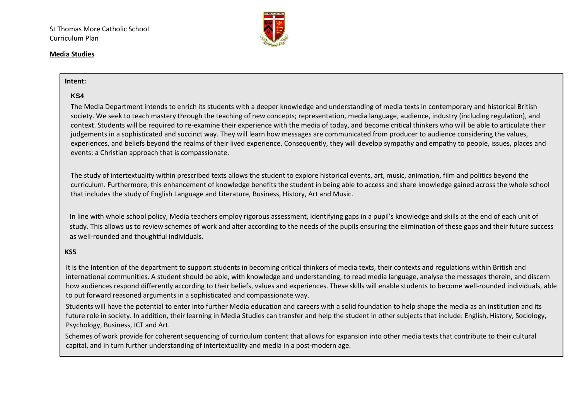

#### **Media Studies**

#### **Intent:**

#### **KS4**

The Media Department intends to enrich its students with a deeper knowledge and understanding of media texts in contemporary and historical British society. We seek to teach mastery through the teaching of new concepts; representation, media language, audience, industry (including regulation), and context. Students will be required to re-examine their experience with the media of today, and become critical thinkers who will be able to articulate their judgements in a sophisticated and succinct way. They will learn how messages are communicated from producer to audience considering the values, experiences, and beliefs beyond the realms of their lived experience. Consequently, they will develop sympathy and empathy to people, issues, places and events: a Christian approach that is compassionate.

The study of intertextuality within prescribed texts allows the student to explore historical events, art, music, animation, film and politics beyond the curriculum. Furthermore, this enhancement of knowledge benefits the student in being able to access and share knowledge gained across the whole school that includes the study of English Language and Literature, Business, History, Art and Music.

In line with whole school policy, Media teachers employ rigorous assessment, identifying gaps in a pupil's knowledge and skills at the end of each unit of study. This allows us to review schemes of work and alter according to the needs of the pupils ensuring the elimination of these gaps and their future success as well-rounded and thoughtful individuals.

#### **KS5**

It is the Intention of the department to support students in becoming critical thinkers of media texts, their contexts and regulations within British and international communities. A student should be able, with knowledge and understanding, to read media language, analyse the messages therein, and discern how audiences respond differently according to their beliefs, values and experiences. These skills will enable students to become well-rounded individuals, able to put forward reasoned arguments in a sophisticated and compassionate way.

Students will have the potential to enter into further Media education and careers with a solid foundation to help shape the media as an institution and its future role in society. In addition, their learning in Media Studies can transfer and help the student in other subjects that include: English, History, Sociology, Psychology, Business, ICT and Art.

 Schemes of work provide for coherent sequencing of curriculum content that allows for expansion into other media texts that contribute to their cultural capital, and in turn further understanding of intertextuality and media in a post-modern age.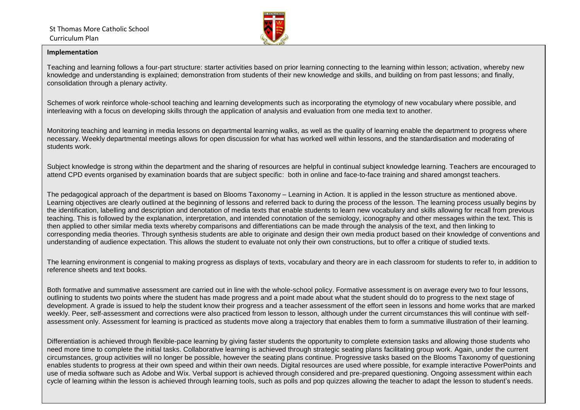

#### **Implementation**

Teaching and learning follows a four-part structure: starter activities based on prior learning connecting to the learning within lesson; activation, whereby new knowledge and understanding is explained; demonstration from students of their new knowledge and skills, and building on from past lessons; and finally, consolidation through a plenary activity.

Schemes of work reinforce whole-school teaching and learning developments such as incorporating the etymology of new vocabulary where possible, and interleaving with a focus on developing skills through the application of analysis and evaluation from one media text to another.

Monitoring teaching and learning in media lessons on departmental learning walks, as well as the quality of learning enable the department to progress where necessary. Weekly departmental meetings allows for open discussion for what has worked well within lessons, and the standardisation and moderating of students work.

Subject knowledge is strong within the department and the sharing of resources are helpful in continual subject knowledge learning. Teachers are encouraged to attend CPD events organised by examination boards that are subject specific: both in online and face-to-face training and shared amongst teachers.

The pedagogical approach of the department is based on Blooms Taxonomy – Learning in Action. It is applied in the lesson structure as mentioned above. Learning objectives are clearly outlined at the beginning of lessons and referred back to during the process of the lesson. The learning process usually begins by the identification, labelling and description and denotation of media texts that enable students to learn new vocabulary and skills allowing for recall from previous teaching. This is followed by the explanation, interpretation, and intended connotation of the semiology, iconography and other messages within the text. This is then applied to other similar media texts whereby comparisons and differentiations can be made through the analysis of the text, and then linking to corresponding media theories. Through synthesis students are able to originate and design their own media product based on their knowledge of conventions and understanding of audience expectation. This allows the student to evaluate not only their own constructions, but to offer a critique of studied texts.

The learning environment is congenial to making progress as displays of texts, vocabulary and theory are in each classroom for students to refer to, in addition to reference sheets and text books.

Both formative and summative assessment are carried out in line with the whole-school policy. Formative assessment is on average every two to four lessons, outlining to students two points where the student has made progress and a point made about what the student should do to progress to the next stage of development. A grade is issued to help the student know their progress and a teacher assessment of the effort seen in lessons and home works that are marked weekly. Peer, self-assessment and corrections were also practiced from lesson to lesson, although under the current circumstances this will continue with selfassessment only. Assessment for learning is practiced as students move along a trajectory that enables them to form a summative illustration of their learning.

Differentiation is achieved through flexible-pace learning by giving faster students the opportunity to complete extension tasks and allowing those students who need more time to complete the initial tasks. Collaborative learning is achieved through strategic seating plans facilitating group work. Again, under the current circumstances, group activities will no longer be possible, however the seating plans continue. Progressive tasks based on the Blooms Taxonomy of questioning enables students to progress at their own speed and within their own needs. Digital resources are used where possible, for example interactive PowerPoints and use of media software such as Adobe and Wix. Verbal support is achieved through considered and pre-prepared questioning. Ongoing assessment within each cycle of learning within the lesson is achieved through learning tools, such as polls and pop quizzes allowing the teacher to adapt the lesson to student's needs.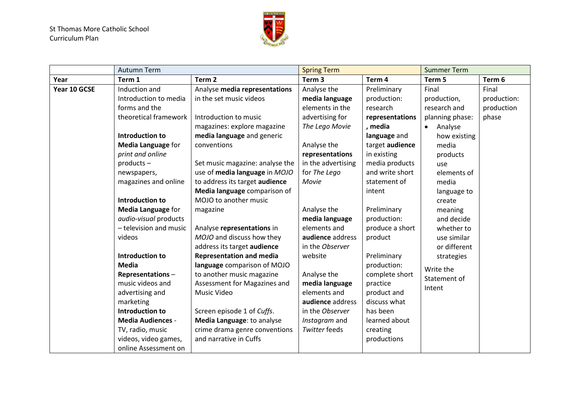

|              | <b>Autumn Term</b>        |                                 | <b>Spring Term</b> |                 | <b>Summer Term</b>   |             |
|--------------|---------------------------|---------------------------------|--------------------|-----------------|----------------------|-------------|
| Year         | Term 1                    | Term <sub>2</sub>               | Term <sub>3</sub>  | Term 4          | Term 5               | Term 6      |
| Year 10 GCSE | Induction and             | Analyse media representations   | Analyse the        | Preliminary     | Final                | Final       |
|              | Introduction to media     | in the set music videos         | media language     | production:     | production,          | production: |
|              | forms and the             |                                 | elements in the    | research        | research and         | production  |
|              | theoretical framework     | Introduction to music           | advertising for    | representations | planning phase:      | phase       |
|              |                           | magazines: explore magazine     | The Lego Movie     | , media         | Analyse<br>$\bullet$ |             |
|              | Introduction to           | media language and generic      |                    | language and    | how existing         |             |
|              | <b>Media Language for</b> | conventions                     | Analyse the        | target audience | media                |             |
|              | print and online          |                                 | representations    | in existing     | products             |             |
|              | products-                 | Set music magazine: analyse the | in the advertising | media products  | use                  |             |
|              | newspapers,               | use of media language in MOJO   | for The Lego       | and write short | elements of          |             |
|              | magazines and online      | to address its target audience  | Movie              | statement of    | media                |             |
|              |                           | Media language comparison of    |                    | intent          | language to          |             |
|              | Introduction to           | MOJO to another music           |                    |                 | create               |             |
|              | <b>Media Language for</b> | magazine                        | Analyse the        | Preliminary     | meaning              |             |
|              | audio-visual products     |                                 | media language     | production:     | and decide           |             |
|              | - television and music    | Analyse representations in      | elements and       | produce a short | whether to           |             |
|              | videos                    | MOJO and discuss how they       | audience address   | product         | use similar          |             |
|              |                           | address its target audience     | in the Observer    |                 | or different         |             |
|              | <b>Introduction to</b>    | <b>Representation and media</b> | website            | Preliminary     | strategies           |             |
|              | <b>Media</b>              | language comparison of MOJO     |                    | production:     | Write the            |             |
|              | Representations-          | to another music magazine       | Analyse the        | complete short  | Statement of         |             |
|              | music videos and          | Assessment for Magazines and    | media language     | practice        | Intent               |             |
|              | advertising and           | Music Video                     | elements and       | product and     |                      |             |
|              | marketing                 |                                 | audience address   | discuss what    |                      |             |
|              | Introduction to           | Screen episode 1 of Cuffs.      | in the Observer    | has been        |                      |             |
|              | <b>Media Audiences -</b>  | Media Language: to analyse      | Instagram and      | learned about   |                      |             |
|              | TV, radio, music          | crime drama genre conventions   | Twitter feeds      | creating        |                      |             |
|              | videos, video games,      | and narrative in Cuffs          |                    | productions     |                      |             |
|              | online Assessment on      |                                 |                    |                 |                      |             |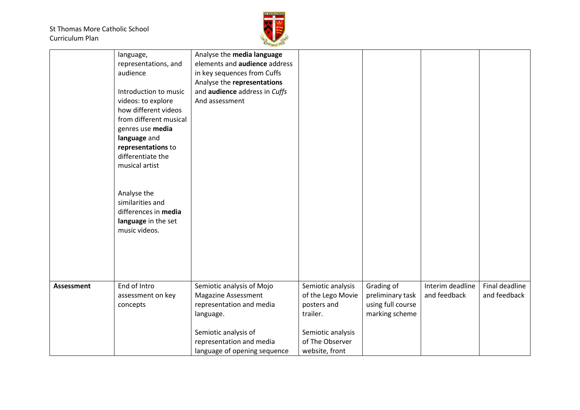

|                   | language,<br>representations, and<br>audience<br>Introduction to music<br>videos: to explore<br>how different videos<br>from different musical<br>genres use media<br>language and<br>representations to<br>differentiate the<br>musical artist<br>Analyse the<br>similarities and<br>differences in media<br>language in the set<br>music videos. | Analyse the media language<br>elements and <b>audience</b> address<br>in key sequences from Cuffs<br>Analyse the representations<br>and audience address in Cuffs<br>And assessment  |                                                                                                                             |                                                                       |                                  |                                |
|-------------------|----------------------------------------------------------------------------------------------------------------------------------------------------------------------------------------------------------------------------------------------------------------------------------------------------------------------------------------------------|--------------------------------------------------------------------------------------------------------------------------------------------------------------------------------------|-----------------------------------------------------------------------------------------------------------------------------|-----------------------------------------------------------------------|----------------------------------|--------------------------------|
| <b>Assessment</b> | End of Intro<br>assessment on key<br>concepts                                                                                                                                                                                                                                                                                                      | Semiotic analysis of Mojo<br><b>Magazine Assessment</b><br>representation and media<br>language.<br>Semiotic analysis of<br>representation and media<br>language of opening sequence | Semiotic analysis<br>of the Lego Movie<br>posters and<br>trailer.<br>Semiotic analysis<br>of The Observer<br>website, front | Grading of<br>preliminary task<br>using full course<br>marking scheme | Interim deadline<br>and feedback | Final deadline<br>and feedback |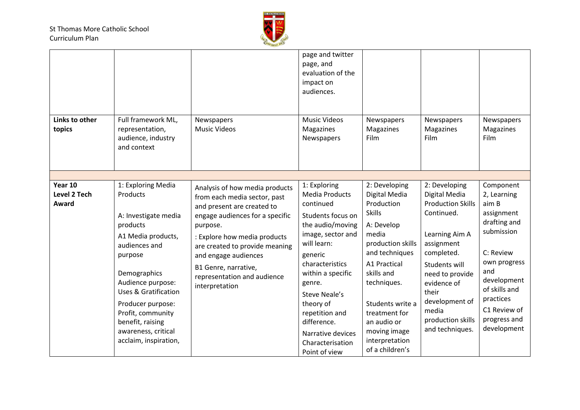

| Links to other<br>topics                | Full framework ML,<br>representation,<br>audience, industry<br>and context                                                                                                                                                                                                                                        | Newspapers<br><b>Music Videos</b>                                                                                                                                                                                                                                                                              | page and twitter<br>page, and<br>evaluation of the<br>impact on<br>audiences.<br><b>Music Videos</b><br>Magazines<br>Newspapers                                                                                                                                                                                       | Newspapers<br>Magazines<br>Film                                                                                                                                                                                                                                                   | Newspapers<br>Magazines<br>Film                                                                                                                                                                                                                       | Newspapers<br>Magazines<br>Film                                                                                                                                                                               |
|-----------------------------------------|-------------------------------------------------------------------------------------------------------------------------------------------------------------------------------------------------------------------------------------------------------------------------------------------------------------------|----------------------------------------------------------------------------------------------------------------------------------------------------------------------------------------------------------------------------------------------------------------------------------------------------------------|-----------------------------------------------------------------------------------------------------------------------------------------------------------------------------------------------------------------------------------------------------------------------------------------------------------------------|-----------------------------------------------------------------------------------------------------------------------------------------------------------------------------------------------------------------------------------------------------------------------------------|-------------------------------------------------------------------------------------------------------------------------------------------------------------------------------------------------------------------------------------------------------|---------------------------------------------------------------------------------------------------------------------------------------------------------------------------------------------------------------|
|                                         |                                                                                                                                                                                                                                                                                                                   |                                                                                                                                                                                                                                                                                                                |                                                                                                                                                                                                                                                                                                                       |                                                                                                                                                                                                                                                                                   |                                                                                                                                                                                                                                                       |                                                                                                                                                                                                               |
| Year 10<br><b>Level 2 Tech</b><br>Award | 1: Exploring Media<br><b>Products</b><br>A: Investigate media<br>products<br>A1 Media products,<br>audiences and<br>purpose<br>Demographics<br>Audience purpose:<br><b>Uses &amp; Gratification</b><br>Producer purpose:<br>Profit, community<br>benefit, raising<br>awareness, critical<br>acclaim, inspiration, | Analysis of how media products<br>from each media sector, past<br>and present are created to<br>engage audiences for a specific<br>purpose.<br>: Explore how media products<br>are created to provide meaning<br>and engage audiences<br>B1 Genre, narrative,<br>representation and audience<br>interpretation | 1: Exploring<br><b>Media Products</b><br>continued<br>Students focus on<br>the audio/moving<br>image, sector and<br>will learn:<br>generic<br>characteristics<br>within a specific<br>genre.<br>Steve Neale's<br>theory of<br>repetition and<br>difference.<br>Narrative devices<br>Characterisation<br>Point of view | 2: Developing<br>Digital Media<br>Production<br><b>Skills</b><br>A: Develop<br>media<br>production skills<br>and techniques<br>A1 Practical<br>skills and<br>techniques.<br>Students write a<br>treatment for<br>an audio or<br>moving image<br>interpretation<br>of a children's | 2: Developing<br>Digital Media<br><b>Production Skills</b><br>Continued.<br>Learning Aim A<br>assignment<br>completed.<br>Students will<br>need to provide<br>evidence of<br>their<br>development of<br>media<br>production skills<br>and techniques. | Component<br>2, Learning<br>aim B<br>assignment<br>drafting and<br>submission<br>C: Review<br>own progress<br>and<br>development<br>of skills and<br>practices<br>C1 Review of<br>progress and<br>development |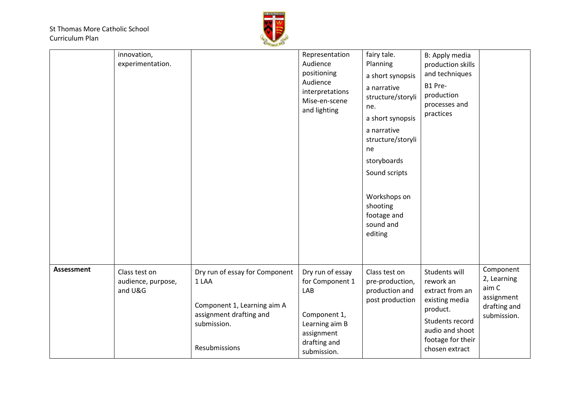

|                   | innovation,<br>experimentation.                |                                                                                                                                   | Representation<br>Audience<br>positioning<br>Audience<br>interpretations<br>Mise-en-scene<br>and lighting                 | fairy tale.<br>Planning<br>a short synopsis<br>a narrative<br>structure/storyli<br>ne.<br>a short synopsis<br>a narrative<br>structure/storyli<br>ne<br>storyboards<br>Sound scripts<br>Workshops on<br>shooting<br>footage and<br>sound and<br>editing | B: Apply media<br>production skills<br>and techniques<br>B1 Pre-<br>production<br>processes and<br>practices                                             |                                                                                |
|-------------------|------------------------------------------------|-----------------------------------------------------------------------------------------------------------------------------------|---------------------------------------------------------------------------------------------------------------------------|---------------------------------------------------------------------------------------------------------------------------------------------------------------------------------------------------------------------------------------------------------|----------------------------------------------------------------------------------------------------------------------------------------------------------|--------------------------------------------------------------------------------|
| <b>Assessment</b> | Class test on<br>audience, purpose,<br>and U&G | Dry run of essay for Component<br>1 LAA<br>Component 1, Learning aim A<br>assignment drafting and<br>submission.<br>Resubmissions | Dry run of essay<br>for Component 1<br>LAB<br>Component 1,<br>Learning aim B<br>assignment<br>drafting and<br>submission. | Class test on<br>pre-production,<br>production and<br>post production                                                                                                                                                                                   | Students will<br>rework an<br>extract from an<br>existing media<br>product.<br>Students record<br>audio and shoot<br>footage for their<br>chosen extract | Component<br>2, Learning<br>aim C<br>assignment<br>drafting and<br>submission. |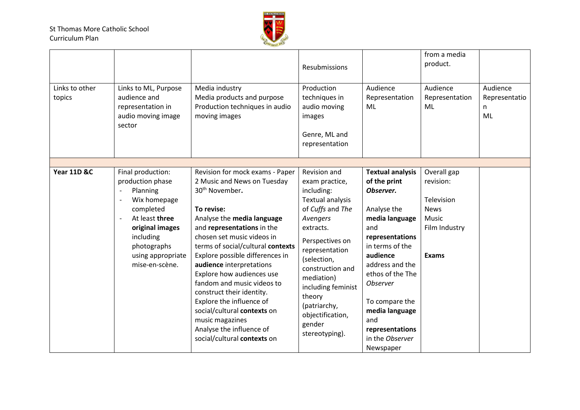

| Links to other<br>topics | Links to ML, Purpose<br>audience and<br>representation in<br>audio moving image<br>sector                                                                                              | Media industry<br>Media products and purpose<br>Production techniques in audio<br>moving images                                                                                                                                                                                                                                                                                                                                                                                                            | Resubmissions<br>Production<br>techniques in<br>audio moving<br>images<br>Genre, ML and<br>representation                                                                                                                                                                                                  | Audience<br>Representation<br>ML                                                                                                                                                                                                                                       | from a media<br>product.<br>Audience<br>Representation<br><b>ML</b>                             | Audience<br>Representatio<br>n<br>ML |
|--------------------------|----------------------------------------------------------------------------------------------------------------------------------------------------------------------------------------|------------------------------------------------------------------------------------------------------------------------------------------------------------------------------------------------------------------------------------------------------------------------------------------------------------------------------------------------------------------------------------------------------------------------------------------------------------------------------------------------------------|------------------------------------------------------------------------------------------------------------------------------------------------------------------------------------------------------------------------------------------------------------------------------------------------------------|------------------------------------------------------------------------------------------------------------------------------------------------------------------------------------------------------------------------------------------------------------------------|-------------------------------------------------------------------------------------------------|--------------------------------------|
| Year 11D &C              | Final production:<br>production phase<br>Planning<br>Wix homepage<br>completed<br>At least three<br>original images<br>including<br>photographs<br>using appropriate<br>mise-en-scène. | Revision for mock exams - Paper<br>2 Music and News on Tuesday<br>30 <sup>th</sup> November.<br>To revise:<br>Analyse the media language<br>and representations in the<br>chosen set music videos in<br>terms of social/cultural contexts<br>Explore possible differences in<br>audience interpretations<br>Explore how audiences use<br>fandom and music videos to<br>construct their identity.<br>Explore the influence of<br>social/cultural contexts on<br>music magazines<br>Analyse the influence of | Revision and<br>exam practice,<br>including:<br><b>Textual analysis</b><br>of Cuffs and The<br>Avengers<br>extracts.<br>Perspectives on<br>representation<br>(selection,<br>construction and<br>mediation)<br>including feminist<br>theory<br>(patriarchy,<br>objectification,<br>gender<br>stereotyping). | <b>Textual analysis</b><br>of the print<br>Observer.<br>Analyse the<br>media language<br>and<br>representations<br>in terms of the<br>audience<br>address and the<br>ethos of the The<br><b>Observer</b><br>To compare the<br>media language<br>and<br>representations | Overall gap<br>revision:<br>Television<br><b>News</b><br>Music<br>Film Industry<br><b>Exams</b> |                                      |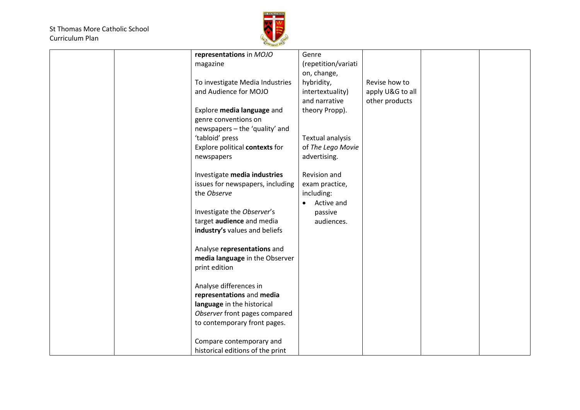

|  | representations in MOJO          | Genre                   |                  |  |
|--|----------------------------------|-------------------------|------------------|--|
|  | magazine                         | (repetition/variati     |                  |  |
|  |                                  | on, change,             |                  |  |
|  |                                  |                         | Revise how to    |  |
|  | To investigate Media Industries  | hybridity,              |                  |  |
|  | and Audience for MOJO            | intertextuality)        | apply U&G to all |  |
|  |                                  | and narrative           | other products   |  |
|  | Explore media language and       | theory Propp).          |                  |  |
|  | genre conventions on             |                         |                  |  |
|  | newspapers - the 'quality' and   |                         |                  |  |
|  | 'tabloid' press                  | <b>Textual analysis</b> |                  |  |
|  | Explore political contexts for   | of The Lego Movie       |                  |  |
|  | newspapers                       | advertising.            |                  |  |
|  |                                  |                         |                  |  |
|  | Investigate media industries     | Revision and            |                  |  |
|  | issues for newspapers, including | exam practice,          |                  |  |
|  | the Observe                      | including:              |                  |  |
|  |                                  | Active and<br>$\bullet$ |                  |  |
|  | Investigate the Observer's       | passive                 |                  |  |
|  | target audience and media        | audiences.              |                  |  |
|  | industry's values and beliefs    |                         |                  |  |
|  |                                  |                         |                  |  |
|  | Analyse representations and      |                         |                  |  |
|  | media language in the Observer   |                         |                  |  |
|  | print edition                    |                         |                  |  |
|  |                                  |                         |                  |  |
|  | Analyse differences in           |                         |                  |  |
|  | representations and media        |                         |                  |  |
|  | language in the historical       |                         |                  |  |
|  | Observer front pages compared    |                         |                  |  |
|  | to contemporary front pages.     |                         |                  |  |
|  |                                  |                         |                  |  |
|  |                                  |                         |                  |  |
|  | Compare contemporary and         |                         |                  |  |
|  | historical editions of the print |                         |                  |  |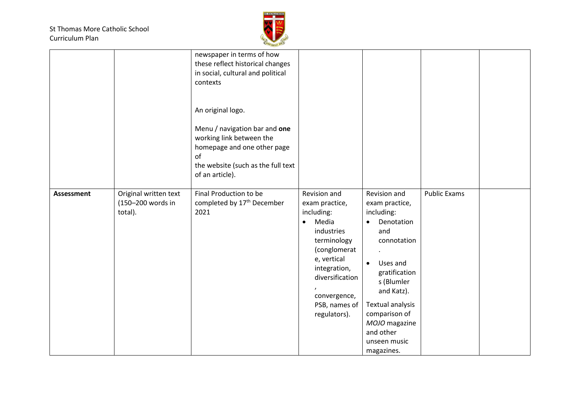

|                   |                                                       | newspaper in terms of how<br>these reflect historical changes<br>in social, cultural and political<br>contexts<br>An original logo.<br>Menu / navigation bar and one<br>working link between the<br>homepage and one other page<br>of<br>the website (such as the full text<br>of an article). |                                                                                                                                                                                                                                 |                                                                                                                                                                                                                                                         |                     |  |
|-------------------|-------------------------------------------------------|------------------------------------------------------------------------------------------------------------------------------------------------------------------------------------------------------------------------------------------------------------------------------------------------|---------------------------------------------------------------------------------------------------------------------------------------------------------------------------------------------------------------------------------|---------------------------------------------------------------------------------------------------------------------------------------------------------------------------------------------------------------------------------------------------------|---------------------|--|
| <b>Assessment</b> | Original written text<br>(150-200 words in<br>total). | Final Production to be<br>completed by 17 <sup>th</sup> December<br>2021                                                                                                                                                                                                                       | Revision and<br>exam practice,<br>including:<br>Media<br>$\bullet$<br>industries<br>terminology<br>(conglomerat<br>e, vertical<br>integration,<br>diversification<br>$\pmb{r}$<br>convergence,<br>PSB, names of<br>regulators). | Revision and<br>exam practice,<br>including:<br>Denotation<br>and<br>connotation<br>Uses and<br>$\bullet$<br>gratification<br>s (Blumler<br>and Katz).<br>Textual analysis<br>comparison of<br>MOJO magazine<br>and other<br>unseen music<br>magazines. | <b>Public Exams</b> |  |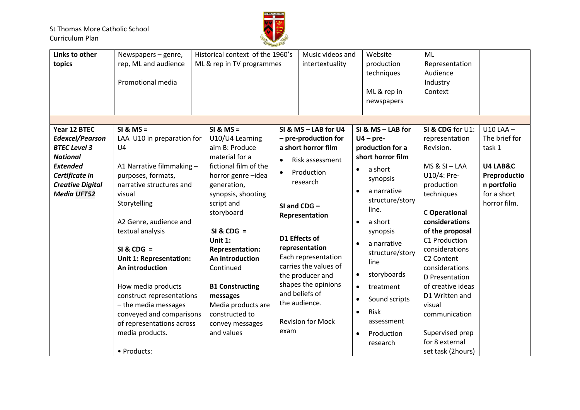

| Links to other          | Newspapers - genre,        | Historical context of the 1960's |           | Music videos and         |           | Website           | ML                     |               |
|-------------------------|----------------------------|----------------------------------|-----------|--------------------------|-----------|-------------------|------------------------|---------------|
| topics                  | rep, ML and audience       | ML & rep in TV programmes        |           | intertextuality          |           | production        | Representation         |               |
|                         |                            |                                  |           |                          |           | techniques        | Audience               |               |
|                         | Promotional media          |                                  |           |                          |           |                   | Industry               |               |
|                         |                            |                                  |           |                          |           | ML & rep in       | Context                |               |
|                         |                            |                                  |           |                          |           | newspapers        |                        |               |
|                         |                            |                                  |           |                          |           |                   |                        |               |
|                         |                            |                                  |           |                          |           |                   |                        |               |
| Year 12 BTEC            | $SI & MS =$                | $SI & MS =$                      |           | SI & MS - LAB for U4     |           | SI & MS - LAB for | SI & CDG for U1:       | $U10$ LAA $-$ |
| <b>Edexcel/Pearson</b>  | LAA U10 in preparation for | U10/U4 Learning                  |           | - pre-production for     |           | $U4 - pre-$       | representation         | The brief for |
| <b>BTEC Level 3</b>     | U <sub>4</sub>             | aim B: Produce                   |           | a short horror film      |           | production for a  | Revision.              | task 1        |
| <b>National</b>         |                            | material for a                   |           |                          |           | short horror film |                        |               |
| <b>Extended</b>         | A1 Narrative filmmaking -  | fictional film of the            | $\bullet$ | Risk assessment          |           |                   | $MS & SL - LAA$        | U4 LAB&C      |
| Certificate in          | purposes, formats,         | horror genre-idea                | $\bullet$ | Production               | $\bullet$ | a short           | U10/4: Pre-            | Preproductio  |
| <b>Creative Digital</b> | narrative structures and   | generation,                      |           | research                 |           | synopsis          | production             | n portfolio   |
| <b>Media UFT52</b>      | visual                     | synopsis, shooting               |           |                          |           | a narrative       | techniques             | for a short   |
|                         |                            |                                  |           |                          |           | structure/story   |                        |               |
|                         | Storytelling               | script and                       |           | SI and $CDG -$           |           | line.             |                        | horror film.  |
|                         |                            | storyboard                       |           | Representation           |           |                   | C Operational          |               |
|                         | A2 Genre, audience and     |                                  |           |                          | $\bullet$ | a short           | considerations         |               |
|                         | textual analysis           | $SI & CDG =$                     |           |                          |           | synopsis          | of the proposal        |               |
|                         |                            | Unit $1$ :                       |           | D1 Effects of            |           | a narrative       | C1 Production          |               |
|                         | $SI & CDG =$               | <b>Representation:</b>           |           | representation           |           |                   | considerations         |               |
|                         | Unit 1: Representation:    | An introduction                  |           | Each representation      |           | structure/story   | C <sub>2</sub> Content |               |
|                         | An introduction            | Continued                        |           | carries the values of    |           | line              | considerations         |               |
|                         |                            |                                  |           | the producer and         | $\bullet$ | storyboards       | D Presentation         |               |
|                         | How media products         | <b>B1 Constructing</b>           |           | shapes the opinions      | $\bullet$ | treatment         | of creative ideas      |               |
|                         | construct representations  | messages                         |           | and beliefs of           |           |                   | D1 Written and         |               |
|                         | - the media messages       | Media products are               |           | the audience.            |           | Sound scripts     | visual                 |               |
|                         | conveyed and comparisons   | constructed to                   |           |                          |           | Risk              | communication          |               |
|                         | of representations across  | convey messages                  |           | <b>Revision for Mock</b> |           | assessment        |                        |               |
|                         |                            | and values                       | exam      |                          |           |                   | Supervised prep        |               |
|                         | media products.            |                                  |           |                          | $\bullet$ | Production        |                        |               |
|                         |                            |                                  |           |                          |           | research          | for 8 external         |               |
|                         | • Products:                |                                  |           |                          |           |                   | set task (2hours)      |               |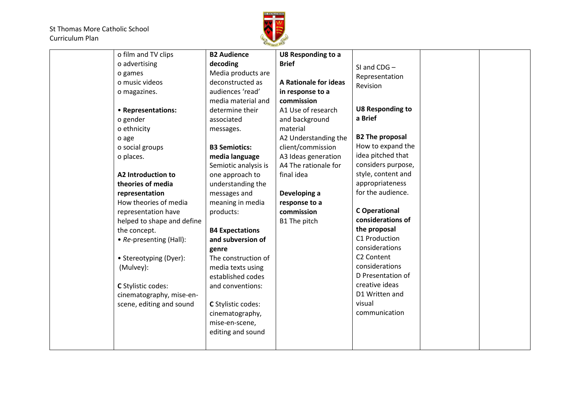

| o film and TV clips        | <b>B2 Audience</b>     | U8 Responding to a    |                         |  |
|----------------------------|------------------------|-----------------------|-------------------------|--|
| o advertising              | decoding               | <b>Brief</b>          | SI and CDG-             |  |
| o games                    | Media products are     |                       | Representation          |  |
| o music videos             | deconstructed as       | A Rationale for ideas | Revision                |  |
| o magazines.               | audiences 'read'       | in response to a      |                         |  |
|                            | media material and     | commission            |                         |  |
| • Representations:         | determine their        | A1 Use of research    | <b>U8 Responding to</b> |  |
| o gender                   | associated             | and background        | a Brief                 |  |
| o ethnicity                | messages.              | material              |                         |  |
| o age                      |                        | A2 Understanding the  | <b>B2 The proposal</b>  |  |
| o social groups            | <b>B3 Semiotics:</b>   | client/commission     | How to expand the       |  |
| o places.                  | media language         | A3 Ideas generation   | idea pitched that       |  |
|                            | Semiotic analysis is   | A4 The rationale for  | considers purpose,      |  |
| A2 Introduction to         | one approach to        | final idea            | style, content and      |  |
| theories of media          | understanding the      |                       | appropriateness         |  |
| representation             | messages and           | Developing a          | for the audience.       |  |
| How theories of media      | meaning in media       | response to a         |                         |  |
| representation have        | products:              | commission            | <b>C</b> Operational    |  |
| helped to shape and define |                        | B1 The pitch          | considerations of       |  |
| the concept.               | <b>B4 Expectations</b> |                       | the proposal            |  |
| • Re-presenting (Hall):    | and subversion of      |                       | C1 Production           |  |
|                            | genre                  |                       | considerations          |  |
| • Stereotyping (Dyer):     | The construction of    |                       | C <sub>2</sub> Content  |  |
| (Mulvey):                  | media texts using      |                       | considerations          |  |
|                            | established codes      |                       | D Presentation of       |  |
| C Stylistic codes:         | and conventions:       |                       | creative ideas          |  |
| cinematography, mise-en-   |                        |                       | D1 Written and          |  |
| scene, editing and sound   | C Stylistic codes:     |                       | visual                  |  |
|                            | cinematography,        |                       | communication           |  |
|                            | mise-en-scene,         |                       |                         |  |
|                            | editing and sound      |                       |                         |  |
|                            |                        |                       |                         |  |
|                            |                        |                       |                         |  |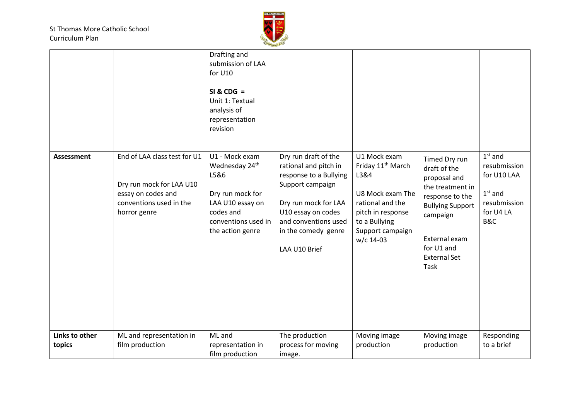

| <b>Assessment</b>        | End of LAA class test for U1<br>Dry run mock for LAA U10<br>essay on codes and<br>conventions used in the<br>horror genre | Drafting and<br>submission of LAA<br>for U10<br>$SI & CDG =$<br>Unit 1: Textual<br>analysis of<br>representation<br>revision<br>U1 - Mock exam<br>Wednesday 24th<br>L5&6<br>Dry run mock for<br>LAA U10 essay on<br>codes and<br>conventions used in<br>the action genre | Dry run draft of the<br>rational and pitch in<br>response to a Bullying<br>Support campaign<br>Dry run mock for LAA<br>U10 essay on codes<br>and conventions used<br>in the comedy genre<br>LAA U10 Brief | U1 Mock exam<br>Friday 11 <sup>th</sup> March<br>L3&4<br>U8 Mock exam The<br>rational and the<br>pitch in response<br>to a Bullying<br>Support campaign<br>w/c 14-03 | Timed Dry run<br>draft of the<br>proposal and<br>the treatment in<br>response to the<br><b>Bullying Support</b><br>campaign<br>External exam<br>for U1 and<br><b>External Set</b><br>Task | $1st$ and<br>resubmission<br>for U10 LAA<br>$1st$ and<br>resubmission<br>for U4 LA<br>B&C |
|--------------------------|---------------------------------------------------------------------------------------------------------------------------|--------------------------------------------------------------------------------------------------------------------------------------------------------------------------------------------------------------------------------------------------------------------------|-----------------------------------------------------------------------------------------------------------------------------------------------------------------------------------------------------------|----------------------------------------------------------------------------------------------------------------------------------------------------------------------|-------------------------------------------------------------------------------------------------------------------------------------------------------------------------------------------|-------------------------------------------------------------------------------------------|
| Links to other<br>topics | ML and representation in<br>film production                                                                               | ML and<br>representation in<br>film production                                                                                                                                                                                                                           | The production<br>process for moving<br>image.                                                                                                                                                            | Moving image<br>production                                                                                                                                           | Moving image<br>production                                                                                                                                                                | Responding<br>to a brief                                                                  |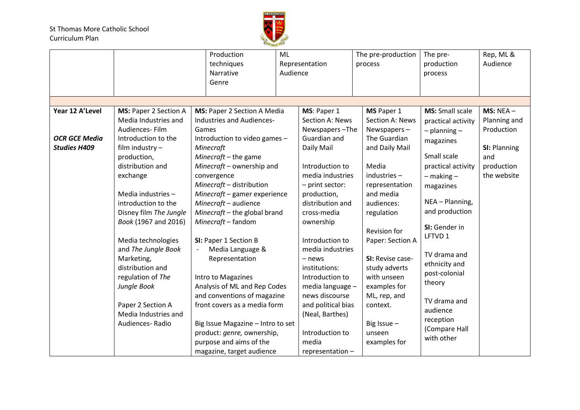

|                                                                |                                                                                                                                                           | Production<br>techniques<br>Narrative<br>Genre                                                                                                                                                                                                        | ML<br>Audience | Representation                                                                                                                                                            | The pre-production<br>process                                                                                                         | The pre-<br>production<br>process                                                                                                    | Rep, ML &<br>Audience                                                                         |
|----------------------------------------------------------------|-----------------------------------------------------------------------------------------------------------------------------------------------------------|-------------------------------------------------------------------------------------------------------------------------------------------------------------------------------------------------------------------------------------------------------|----------------|---------------------------------------------------------------------------------------------------------------------------------------------------------------------------|---------------------------------------------------------------------------------------------------------------------------------------|--------------------------------------------------------------------------------------------------------------------------------------|-----------------------------------------------------------------------------------------------|
| Year 12 A'Level<br><b>OCR GCE Media</b><br><b>Studies H409</b> | MS: Paper 2 Section A<br>Media Industries and<br>Audiences-Film<br>Introduction to the<br>film industry -<br>production,<br>distribution and<br>exchange  | MS: Paper 2 Section A Media<br>Industries and Audiences-<br>Games<br>Introduction to video games -<br>Minecraft<br>Minecraft $-$ the game<br>Minecraft - ownership and<br>convergence                                                                 |                | MS: Paper 1<br>Section A: News<br>Newspapers-The<br>Guardian and<br>Daily Mail<br>Introduction to<br>media industries                                                     | MS Paper 1<br>Section A: News<br>Newspapers $-$<br>The Guardian<br>and Daily Mail<br>Media<br>industries-                             | <b>MS:</b> Small scale<br>practical activity<br>$-$ planning $-$<br>magazines<br>Small scale<br>practical activity<br>$-$ making $-$ | $MS: NEA -$<br>Planning and<br>Production<br>SI: Planning<br>and<br>production<br>the website |
|                                                                | Media industries -<br>introduction to the<br>Disney film The Jungle<br>Book (1967 and 2016)<br>Media technologies                                         | Minecraft - distribution<br>Minecraft - gamer experience<br>Minecraft - audience<br>Minecraft - the global brand<br>Minecraft - fandom<br>SI: Paper 1 Section B                                                                                       |                | - print sector:<br>production,<br>distribution and<br>cross-media<br>ownership<br>Introduction to                                                                         | representation<br>and media<br>audiences:<br>regulation<br><b>Revision for</b><br>Paper: Section A                                    | magazines<br>NEA - Planning,<br>and production<br>SI: Gender in<br>LFTVD 1                                                           |                                                                                               |
|                                                                | and The Jungle Book<br>Marketing,<br>distribution and<br>regulation of The<br>Jungle Book<br>Paper 2 Section A<br>Media Industries and<br>Audiences-Radio | Media Language &<br>Representation<br>Intro to Magazines<br>Analysis of ML and Rep Codes<br>and conventions of magazine<br>front covers as a media form<br>Big Issue Magazine - Intro to set<br>product: genre, ownership,<br>purpose and aims of the |                | media industries<br>- news<br>institutions:<br>Introduction to<br>media language -<br>news discourse<br>and political bias<br>(Neal, Barthes)<br>Introduction to<br>media | SI: Revise case-<br>study adverts<br>with unseen<br>examples for<br>ML, rep, and<br>context.<br>Big Issue -<br>unseen<br>examples for | TV drama and<br>ethnicity and<br>post-colonial<br>theory<br>TV drama and<br>audience<br>reception<br>(Compare Hall<br>with other     |                                                                                               |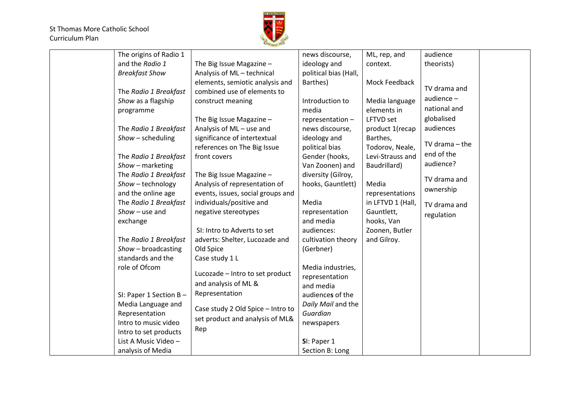

| The origins of Radio 1 |                                   | news discourse,       | ML, rep, and      | audience           |  |
|------------------------|-----------------------------------|-----------------------|-------------------|--------------------|--|
| and the Radio 1        | The Big Issue Magazine -          | ideology and          | context.          | theorists)         |  |
| <b>Breakfast Show</b>  | Analysis of ML-technical          | political bias (Hall, |                   |                    |  |
|                        | elements, semiotic analysis and   | Barthes)              | Mock Feedback     |                    |  |
| The Radio 1 Breakfast  | combined use of elements to       |                       |                   | TV drama and       |  |
| Show as a flagship     | construct meaning                 | Introduction to       | Media language    | audience $-$       |  |
| programme              |                                   | media                 | elements in       | national and       |  |
|                        | The Big Issue Magazine -          | representation-       | LFTVD set         | globalised         |  |
| The Radio 1 Breakfast  | Analysis of ML-use and            | news discourse,       | product 1(recap   | audiences          |  |
| Show - scheduling      | significance of intertextual      | ideology and          | Barthes,          |                    |  |
|                        | references on The Big Issue       | political bias        | Todorov, Neale,   | $TV$ drama $-$ the |  |
| The Radio 1 Breakfast  | front covers                      | Gender (hooks,        | Levi-Strauss and  | end of the         |  |
| Show - marketing       |                                   | Van Zoonen) and       | Baudrillard)      | audience?          |  |
| The Radio 1 Breakfast  | The Big Issue Magazine -          | diversity (Gilroy,    |                   | TV drama and       |  |
| Show - technology      | Analysis of representation of     | hooks, Gauntlett)     | Media             |                    |  |
| and the online age     | events, issues, social groups and |                       | representations   | ownership          |  |
| The Radio 1 Breakfast  | individuals/positive and          | Media                 | in LFTVD 1 (Hall, | TV drama and       |  |
| $Show$ – use and       | negative stereotypes              | representation        | Gauntlett,        | regulation         |  |
| exchange               |                                   | and media             | hooks, Van        |                    |  |
|                        | SI: Intro to Adverts to set       | audiences:            | Zoonen, Butler    |                    |  |
| The Radio 1 Breakfast  | adverts: Shelter, Lucozade and    | cultivation theory    | and Gilroy.       |                    |  |
| $Show - broadcasting$  | Old Spice                         | (Gerbner)             |                   |                    |  |
| standards and the      | Case study 1 L                    |                       |                   |                    |  |
| role of Ofcom          |                                   | Media industries,     |                   |                    |  |
|                        | Lucozade - Intro to set product   | representation        |                   |                    |  |
|                        | and analysis of ML &              | and media             |                   |                    |  |
| SI: Paper 1 Section B- | Representation                    | audiences of the      |                   |                    |  |
| Media Language and     | Case study 2 Old Spice - Intro to | Daily Mail and the    |                   |                    |  |
| Representation         | set product and analysis of ML&   | Guardian              |                   |                    |  |
| Intro to music video   |                                   | newspapers            |                   |                    |  |
| Intro to set products  | Rep                               |                       |                   |                    |  |
| List A Music Video -   |                                   | SI: Paper 1           |                   |                    |  |
| analysis of Media      |                                   | Section B: Long       |                   |                    |  |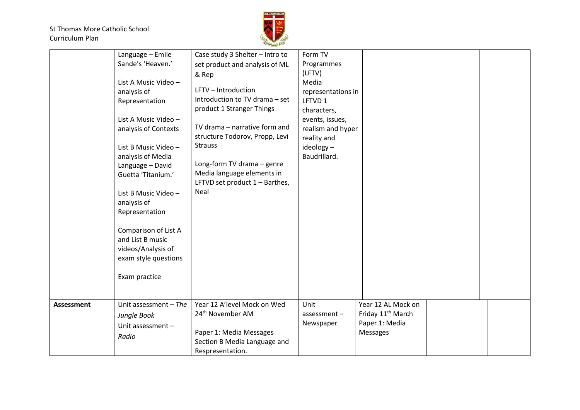

|                   | Language - Emile<br>Sande's 'Heaven.'<br>List A Music Video -<br>analysis of                                                                                                                                                                                                                                              | Case study 3 Shelter - Intro to<br>set product and analysis of ML<br>& Rep<br>LFTV - Introduction                                                                                                                                                      | Form TV<br>Programmes<br>(LFTV)<br>Media<br>representations in                                              |                                                                                   |  |
|-------------------|---------------------------------------------------------------------------------------------------------------------------------------------------------------------------------------------------------------------------------------------------------------------------------------------------------------------------|--------------------------------------------------------------------------------------------------------------------------------------------------------------------------------------------------------------------------------------------------------|-------------------------------------------------------------------------------------------------------------|-----------------------------------------------------------------------------------|--|
|                   | Representation<br>List A Music Video -<br>analysis of Contexts<br>List B Music Video -<br>analysis of Media<br>Language - David<br>Guetta 'Titanium.'<br>List B Music Video -<br>analysis of<br>Representation<br>Comparison of List A<br>and List B music<br>videos/Analysis of<br>exam style questions<br>Exam practice | Introduction to TV drama - set<br>product 1 Stranger Things<br>TV drama - narrative form and<br>structure Todorov, Propp, Levi<br><b>Strauss</b><br>Long-form TV drama - genre<br>Media language elements in<br>LFTVD set product 1 - Barthes,<br>Neal | LFTVD 1<br>characters,<br>events, issues,<br>realism and hyper<br>reality and<br>ideology -<br>Baudrillard. |                                                                                   |  |
| <b>Assessment</b> | Unit assessment $-$ The<br>Jungle Book<br>Unit assessment-<br>Radio                                                                                                                                                                                                                                                       | Year 12 A'level Mock on Wed<br>24 <sup>th</sup> November AM<br>Paper 1: Media Messages<br>Section B Media Language and<br>Respresentation.                                                                                                             | Unit<br>assessment-<br>Newspaper                                                                            | Year 12 AL Mock on<br>Friday 11 <sup>th</sup> March<br>Paper 1: Media<br>Messages |  |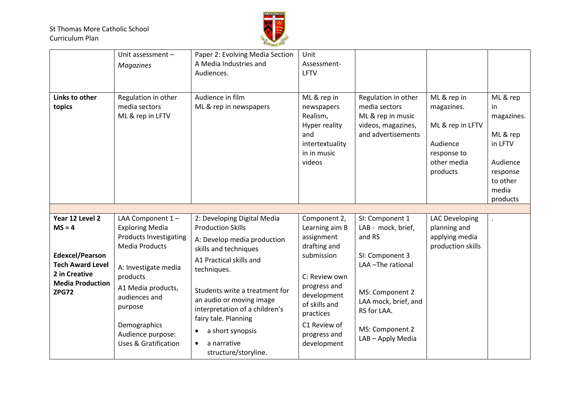

|                                                                                                                           | Unit assessment $-$<br><b>Magazines</b>                                                                                                                                                                                                        | Paper 2: Evolving Media Section<br>A Media Industries and<br>Audiences.                                                                                                                                                                                                                                                    | Unit<br>Assessment-<br>LFTV                                                                                                                                                             |                                                                                                                                                                       |                                                                                                     |                                                                                                               |
|---------------------------------------------------------------------------------------------------------------------------|------------------------------------------------------------------------------------------------------------------------------------------------------------------------------------------------------------------------------------------------|----------------------------------------------------------------------------------------------------------------------------------------------------------------------------------------------------------------------------------------------------------------------------------------------------------------------------|-----------------------------------------------------------------------------------------------------------------------------------------------------------------------------------------|-----------------------------------------------------------------------------------------------------------------------------------------------------------------------|-----------------------------------------------------------------------------------------------------|---------------------------------------------------------------------------------------------------------------|
| Links to other<br>topics                                                                                                  | Regulation in other<br>media sectors<br>ML & rep in LFTV                                                                                                                                                                                       | Audience in film<br>ML & rep in newspapers                                                                                                                                                                                                                                                                                 | ML & rep in<br>newspapers<br>Realism,<br>Hyper reality<br>and<br>intertextuality<br>in in music<br>videos                                                                               | Regulation in other<br>media sectors<br>ML & rep in music<br>videos, magazines,<br>and advertisements                                                                 | ML & rep in<br>magazines.<br>ML & rep in LFTV<br>Audience<br>response to<br>other media<br>products | ML & rep<br>-in<br>magazines.<br>ML & rep<br>in LFTV<br>Audience<br>response<br>to other<br>media<br>products |
|                                                                                                                           |                                                                                                                                                                                                                                                |                                                                                                                                                                                                                                                                                                                            |                                                                                                                                                                                         |                                                                                                                                                                       |                                                                                                     |                                                                                                               |
| Year 12 Level 2                                                                                                           | LAA Component $1 -$                                                                                                                                                                                                                            | 2: Developing Digital Media                                                                                                                                                                                                                                                                                                | Component 2,                                                                                                                                                                            | SI: Component 1                                                                                                                                                       | <b>LAC Developing</b>                                                                               |                                                                                                               |
| $MS = 4$<br><b>Edexcel/Pearson</b><br><b>Tech Award Level</b><br>2 in Creative<br><b>Media Production</b><br><b>ZPG72</b> | <b>Exploring Media</b><br><b>Products Investigating</b><br><b>Media Products</b><br>A: Investigate media<br>products<br>A1 Media products,<br>audiences and<br>purpose<br>Demographics<br>Audience purpose:<br><b>Uses &amp; Gratification</b> | <b>Production Skills</b><br>A: Develop media production<br>skills and techniques<br>A1 Practical skills and<br>techniques.<br>Students write a treatment for<br>an audio or moving image<br>interpretation of a children's<br>fairy tale. Planning<br>a short synopsis<br>a narrative<br>$\bullet$<br>structure/storyline. | Learning aim B<br>assignment<br>drafting and<br>submission<br>C: Review own<br>progress and<br>development<br>of skills and<br>practices<br>C1 Review of<br>progress and<br>development | LAB - mock, brief,<br>and RS<br>SI: Component 3<br>LAA-The rational<br>MS: Component 2<br>LAA mock, brief, and<br>RS for LAA.<br>MS: Component 2<br>LAB - Apply Media | planning and<br>applying media<br>production skills                                                 |                                                                                                               |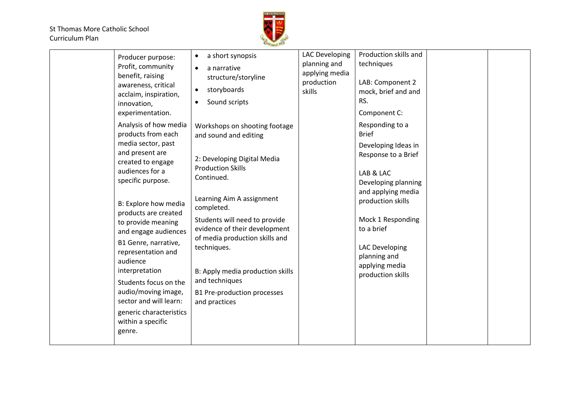

| Producer purpose:<br>Profit, community<br>benefit, raising<br>awareness, critical<br>acclaim, inspiration,<br>innovation,<br>experimentation.<br>Analysis of how media<br>products from each<br>media sector, past<br>and present are<br>created to engage<br>audiences for a<br>specific purpose.<br>B: Explore how media<br>products are created<br>to provide meaning<br>and engage audiences<br>B1 Genre, narrative,<br>representation and<br>audience<br>interpretation<br>Students focus on the<br>audio/moving image,<br>sector and will learn:<br>generic characteristics<br>within a specific<br>genre. | a short synopsis<br>$\bullet$<br>a narrative<br>$\bullet$<br>structure/storyline<br>storyboards<br>$\bullet$<br>Sound scripts<br>Workshops on shooting footage<br>and sound and editing<br>2: Developing Digital Media<br><b>Production Skills</b><br>Continued.<br>Learning Aim A assignment<br>completed.<br>Students will need to provide<br>evidence of their development<br>of media production skills and<br>techniques.<br>B: Apply media production skills<br>and techniques<br>B1 Pre-production processes<br>and practices | <b>LAC Developing</b><br>planning and<br>applying media<br>production<br>skills | Production skills and<br>techniques<br>LAB: Component 2<br>mock, brief and and<br>RS.<br>Component C:<br>Responding to a<br><b>Brief</b><br>Developing Ideas in<br>Response to a Brief<br>LAB & LAC<br>Developing planning<br>and applying media<br>production skills<br>Mock 1 Responding<br>to a brief<br><b>LAC Developing</b><br>planning and<br>applying media<br>production skills |  |  |
|------------------------------------------------------------------------------------------------------------------------------------------------------------------------------------------------------------------------------------------------------------------------------------------------------------------------------------------------------------------------------------------------------------------------------------------------------------------------------------------------------------------------------------------------------------------------------------------------------------------|--------------------------------------------------------------------------------------------------------------------------------------------------------------------------------------------------------------------------------------------------------------------------------------------------------------------------------------------------------------------------------------------------------------------------------------------------------------------------------------------------------------------------------------|---------------------------------------------------------------------------------|------------------------------------------------------------------------------------------------------------------------------------------------------------------------------------------------------------------------------------------------------------------------------------------------------------------------------------------------------------------------------------------|--|--|
|------------------------------------------------------------------------------------------------------------------------------------------------------------------------------------------------------------------------------------------------------------------------------------------------------------------------------------------------------------------------------------------------------------------------------------------------------------------------------------------------------------------------------------------------------------------------------------------------------------------|--------------------------------------------------------------------------------------------------------------------------------------------------------------------------------------------------------------------------------------------------------------------------------------------------------------------------------------------------------------------------------------------------------------------------------------------------------------------------------------------------------------------------------------|---------------------------------------------------------------------------------|------------------------------------------------------------------------------------------------------------------------------------------------------------------------------------------------------------------------------------------------------------------------------------------------------------------------------------------------------------------------------------------|--|--|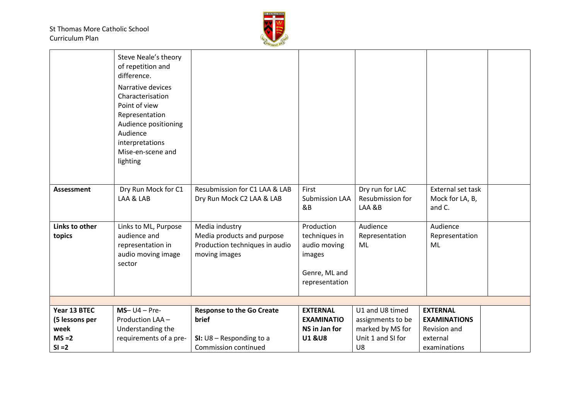

|                          | Steve Neale's theory<br>of repetition and<br>difference.<br>Narrative devices<br>Characterisation<br>Point of view<br>Representation<br>Audience positioning<br>Audience<br>interpretations<br>Mise-en-scene and<br>lighting |                                                                                                 |                                                                                          |                                               |                                                |  |
|--------------------------|------------------------------------------------------------------------------------------------------------------------------------------------------------------------------------------------------------------------------|-------------------------------------------------------------------------------------------------|------------------------------------------------------------------------------------------|-----------------------------------------------|------------------------------------------------|--|
| <b>Assessment</b>        | Dry Run Mock for C1<br>LAA & LAB                                                                                                                                                                                             | Resubmission for C1 LAA & LAB<br>Dry Run Mock C2 LAA & LAB                                      | First<br><b>Submission LAA</b><br>&B                                                     | Dry run for LAC<br>Resubmission for<br>LAA &B | External set task<br>Mock for LA, B,<br>and C. |  |
| Links to other<br>topics | Links to ML, Purpose<br>audience and<br>representation in<br>audio moving image<br>sector                                                                                                                                    | Media industry<br>Media products and purpose<br>Production techniques in audio<br>moving images | Production<br>techniques in<br>audio moving<br>images<br>Genre, ML and<br>representation | Audience<br>Representation<br>ML              | Audience<br>Representation<br>ML               |  |
|                          |                                                                                                                                                                                                                              |                                                                                                 |                                                                                          |                                               |                                                |  |
| Year 13 BTEC             | $MS - U4 - Pre-$                                                                                                                                                                                                             | <b>Response to the Go Create</b>                                                                | <b>EXTERNAL</b>                                                                          | U1 and U8 timed                               | <b>EXTERNAL</b>                                |  |
| (5 lessons per           | Production LAA -                                                                                                                                                                                                             | <b>brief</b>                                                                                    | <b>EXAMINATIO</b>                                                                        | assignments to be                             | <b>EXAMINATIONS</b>                            |  |
| week                     | Understanding the                                                                                                                                                                                                            |                                                                                                 | NS in Jan for                                                                            | marked by MS for                              | Revision and                                   |  |
| $MS = 2$                 | requirements of a pre-                                                                                                                                                                                                       | SI: $U8 -$ Responding to a                                                                      | <b>U1 &amp;U8</b>                                                                        | Unit 1 and SI for                             | external                                       |  |
| $SI = 2$                 |                                                                                                                                                                                                                              | Commission continued                                                                            |                                                                                          | U8                                            | examinations                                   |  |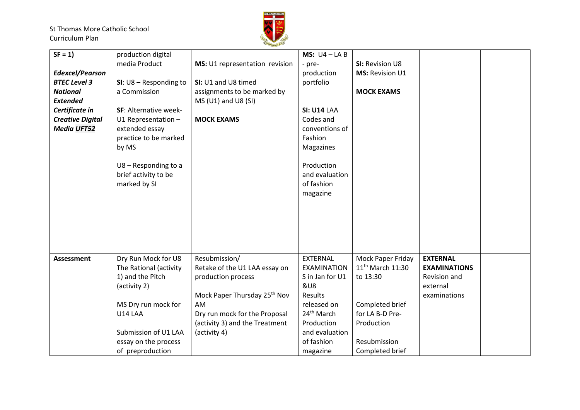

| $SF = 1$                | production digital       |                                          | MS: $U4 - LAB$         |                              |                     |  |
|-------------------------|--------------------------|------------------------------------------|------------------------|------------------------------|---------------------|--|
|                         | media Product            | MS: U1 representation revision           | - pre-                 | SI: Revision U8              |                     |  |
| <b>Edexcel/Pearson</b>  |                          |                                          | production             | <b>MS: Revision U1</b>       |                     |  |
| <b>BTEC Level 3</b>     | SI: $U8 -$ Responding to | SI: U1 and U8 timed                      | portfolio              |                              |                     |  |
| <b>National</b>         | a Commission             | assignments to be marked by              |                        | <b>MOCK EXAMS</b>            |                     |  |
| <b>Extended</b>         |                          | $MS (U1)$ and U8 (SI)                    |                        |                              |                     |  |
| Certificate in          | SF: Alternative week-    |                                          | <b>SI: U14 LAA</b>     |                              |                     |  |
| <b>Creative Digital</b> | U1 Representation $-$    | <b>MOCK EXAMS</b>                        | Codes and              |                              |                     |  |
| <b>Media UFT52</b>      | extended essay           |                                          | conventions of         |                              |                     |  |
|                         | practice to be marked    |                                          | Fashion                |                              |                     |  |
|                         | by MS                    |                                          | Magazines              |                              |                     |  |
|                         |                          |                                          |                        |                              |                     |  |
|                         | $U8 -$ Responding to a   |                                          | Production             |                              |                     |  |
|                         | brief activity to be     |                                          | and evaluation         |                              |                     |  |
|                         | marked by SI             |                                          | of fashion             |                              |                     |  |
|                         |                          |                                          |                        |                              |                     |  |
|                         |                          |                                          | magazine               |                              |                     |  |
|                         |                          |                                          |                        |                              |                     |  |
|                         |                          |                                          |                        |                              |                     |  |
|                         |                          |                                          |                        |                              |                     |  |
|                         |                          |                                          |                        |                              |                     |  |
|                         |                          |                                          |                        |                              |                     |  |
|                         |                          |                                          |                        |                              |                     |  |
| <b>Assessment</b>       | Dry Run Mock for U8      | Resubmission/                            | <b>EXTERNAL</b>        | Mock Paper Friday            | <b>EXTERNAL</b>     |  |
|                         | The Rational (activity   | Retake of the U1 LAA essay on            | <b>EXAMINATION</b>     | 11 <sup>th</sup> March 11:30 | <b>EXAMINATIONS</b> |  |
|                         | 1) and the Pitch         | production process                       | S in Jan for U1        | to 13:30                     | Revision and        |  |
|                         | (activity 2)             |                                          | <b>&amp;U8</b>         |                              | external            |  |
|                         |                          | Mock Paper Thursday 25 <sup>th</sup> Nov | Results                |                              | examinations        |  |
|                         | MS Dry run mock for      | AM                                       | released on            | Completed brief              |                     |  |
|                         | U14 LAA                  | Dry run mock for the Proposal            | 24 <sup>th</sup> March | for LA B-D Pre-              |                     |  |
|                         |                          | (activity 3) and the Treatment           | Production             | Production                   |                     |  |
|                         | Submission of U1 LAA     | (activity 4)                             | and evaluation         |                              |                     |  |
|                         | essay on the process     |                                          | of fashion             | Resubmission                 |                     |  |
|                         | of preproduction         |                                          | magazine               | Completed brief              |                     |  |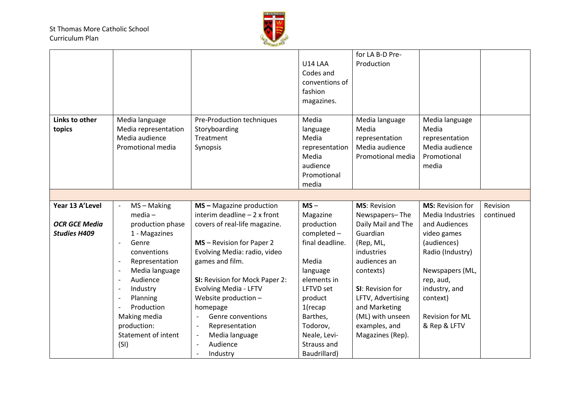

|                      |                                            |                                    |                  | for LA B-D Pre-     |                         |           |
|----------------------|--------------------------------------------|------------------------------------|------------------|---------------------|-------------------------|-----------|
|                      |                                            |                                    | U14 LAA          | Production          |                         |           |
|                      |                                            |                                    |                  |                     |                         |           |
|                      |                                            |                                    | Codes and        |                     |                         |           |
|                      |                                            |                                    | conventions of   |                     |                         |           |
|                      |                                            |                                    | fashion          |                     |                         |           |
|                      |                                            |                                    | magazines.       |                     |                         |           |
|                      |                                            |                                    |                  |                     |                         |           |
| Links to other       | Media language                             | Pre-Production techniques          | Media            | Media language      | Media language          |           |
| topics               | Media representation                       | Storyboarding                      | language         | Media               | Media                   |           |
|                      | Media audience                             | Treatment                          | Media            | representation      | representation          |           |
|                      | Promotional media                          | Synopsis                           | representation   | Media audience      | Media audience          |           |
|                      |                                            |                                    | Media            | Promotional media   | Promotional             |           |
|                      |                                            |                                    | audience         |                     | media                   |           |
|                      |                                            |                                    | Promotional      |                     |                         |           |
|                      |                                            |                                    | media            |                     |                         |           |
|                      |                                            |                                    |                  |                     |                         |           |
|                      |                                            |                                    |                  |                     |                         |           |
| Year 13 A'Level      | $MS - Making$<br>$\blacksquare$            | MS-Magazine production             | $MS -$           | <b>MS: Revision</b> | <b>MS: Revision for</b> | Revision  |
|                      | $media -$                                  | interim deadline $-2x$ front       | Magazine         | Newspapers-The      | <b>Media Industries</b> | continued |
| <b>OCR GCE Media</b> | production phase                           | covers of real-life magazine.      | production       | Daily Mail and The  | and Audiences           |           |
| <b>Studies H409</b>  | 1 - Magazines                              |                                    | completed -      | Guardian            | video games             |           |
|                      | Genre<br>$\blacksquare$                    | MS - Revision for Paper 2          | final deadline.  | (Rep, ML,           | (audiences)             |           |
|                      | conventions                                | Evolving Media: radio, video       |                  | industries          | Radio (Industry)        |           |
|                      | Representation<br>$\overline{\phantom{a}}$ | games and film.                    | Media            | audiences an        |                         |           |
|                      | Media language                             |                                    | language         | contexts)           | Newspapers (ML,         |           |
|                      | Audience                                   | SI: Revision for Mock Paper 2:     | elements in      |                     | rep, aud,               |           |
|                      | Industry                                   | Evolving Media - LFTV              | <b>LFTVD</b> set | SI: Revision for    | industry, and           |           |
|                      | Planning                                   | Website production -               | product          | LFTV, Advertising   | context)                |           |
|                      | Production                                 | homepage                           | $1$ (recap       | and Marketing       |                         |           |
|                      | Making media                               | Genre conventions<br>$\frac{1}{2}$ | Barthes,         | (ML) with unseen    | Revision for ML         |           |
|                      | production:                                | Representation                     | Todorov,         | examples, and       | & Rep & LFTV            |           |
|                      | <b>Statement of intent</b>                 | Media language                     | Neale, Levi-     | Magazines (Rep).    |                         |           |
|                      | (SI)                                       | Audience                           | Strauss and      |                     |                         |           |
|                      |                                            | Industry                           | Baudrillard)     |                     |                         |           |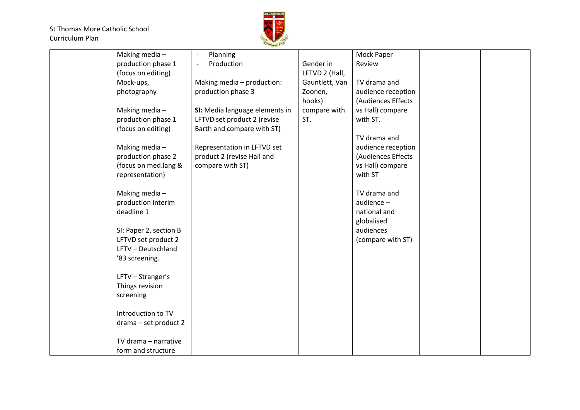

| Making media-          | Planning                       |                | Mock Paper         |  |
|------------------------|--------------------------------|----------------|--------------------|--|
| production phase 1     | Production                     | Gender in      | Review             |  |
| (focus on editing)     |                                | LFTVD 2 (Hall, |                    |  |
| Mock-ups,              | Making media - production:     | Gauntlett, Van | TV drama and       |  |
| photography            | production phase 3             | Zoonen,        | audience reception |  |
|                        |                                | hooks)         | (Audiences Effects |  |
| Making media-          | SI: Media language elements in | compare with   | vs Hall) compare   |  |
| production phase 1     | LFTVD set product 2 (revise    | ST.            | with ST.           |  |
| (focus on editing)     | Barth and compare with ST)     |                |                    |  |
|                        |                                |                | TV drama and       |  |
| Making media-          | Representation in LFTVD set    |                | audience reception |  |
| production phase 2     | product 2 (revise Hall and     |                | (Audiences Effects |  |
| (focus on med.lang &   | compare with ST)               |                | vs Hall) compare   |  |
| representation)        |                                |                | with ST            |  |
|                        |                                |                |                    |  |
| Making media-          |                                |                | TV drama and       |  |
| production interim     |                                |                | audience-          |  |
| deadline 1             |                                |                | national and       |  |
|                        |                                |                |                    |  |
|                        |                                |                | globalised         |  |
| SI: Paper 2, section B |                                |                | audiences          |  |
| LFTVD set product 2    |                                |                | (compare with ST)  |  |
| LFTV - Deutschland     |                                |                |                    |  |
| '83 screening.         |                                |                |                    |  |
|                        |                                |                |                    |  |
| LFTV - Stranger's      |                                |                |                    |  |
| Things revision        |                                |                |                    |  |
| screening              |                                |                |                    |  |
|                        |                                |                |                    |  |
| Introduction to TV     |                                |                |                    |  |
| drama - set product 2  |                                |                |                    |  |
|                        |                                |                |                    |  |
| TV drama - narrative   |                                |                |                    |  |
| form and structure     |                                |                |                    |  |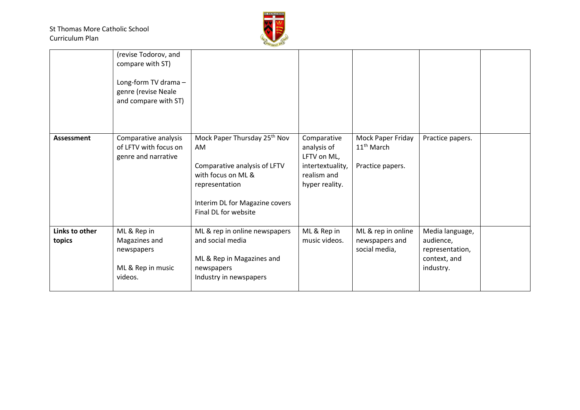

| Links to other<br>topics | ML & Rep in<br>Magazines and<br>newspapers<br>ML & Rep in music<br>videos.                                     | ML & rep in online newspapers<br>and social media<br>ML & Rep in Magazines and<br>newspapers<br>Industry in newspapers                                                           | ML & Rep in<br>music videos.                                                                   | ML & rep in online<br>newspapers and<br>social media,           | Media language,<br>audience,<br>representation,<br>context, and<br>industry. |  |
|--------------------------|----------------------------------------------------------------------------------------------------------------|----------------------------------------------------------------------------------------------------------------------------------------------------------------------------------|------------------------------------------------------------------------------------------------|-----------------------------------------------------------------|------------------------------------------------------------------------------|--|
| Assessment               | Comparative analysis<br>of LFTV with focus on<br>genre and narrative                                           | Mock Paper Thursday 25 <sup>th</sup> Nov<br>AM<br>Comparative analysis of LFTV<br>with focus on ML &<br>representation<br>Interim DL for Magazine covers<br>Final DL for website | Comparative<br>analysis of<br>LFTV on ML,<br>intertextuality,<br>realism and<br>hyper reality. | Mock Paper Friday<br>11 <sup>th</sup> March<br>Practice papers. | Practice papers.                                                             |  |
|                          | (revise Todorov, and<br>compare with ST)<br>Long-form TV drama-<br>genre (revise Neale<br>and compare with ST) |                                                                                                                                                                                  |                                                                                                |                                                                 |                                                                              |  |